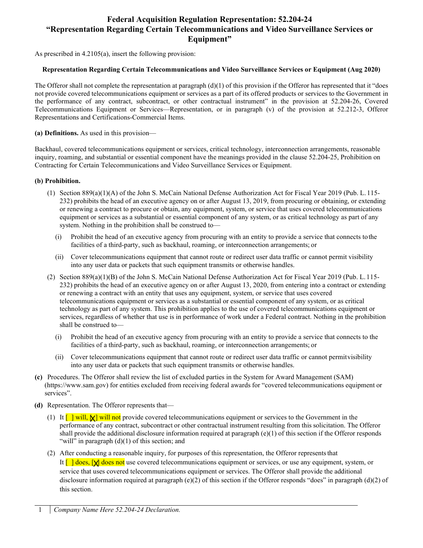# **Federal Acquisition Regulation Representation: 52.204-24 "Representation Regarding Certain Telecommunications and Video Surveillance Services or Equipment"**

As prescribed in 4.2105(a), insert the following provision:

#### **Representation Regarding Certain Telecommunications and Video Surveillance Services or Equipment (Aug 2020)**

The Offeror shall not complete the representation at paragraph  $(d)(1)$  of this provision if the Offeror has represented that it "does" not provide covered telecommunications equipment or services as a part of its offered products or services to the Government in the performance of any contract, subcontract, or other contractual instrument" in the provision at 52.204-26, Covered Telecommunications Equipment or Services—Representation, or in paragraph (v) of the provision at 52.212-3, Offeror Representations and Certifications-Commercial Items.

**(a) Definitions.** As used in this provision—

Backhaul, covered telecommunications equipment or services, critical technology, interconnection arrangements, reasonable inquiry, roaming, and substantial or essential component have the meanings provided in the clause 52.204-25, Prohibition on Contracting for Certain Telecommunications and Video Surveillance Services or Equipment.

#### **(b) Prohibition.**

- (1) Section 889(a)(1)(A) of the John S. McCain National Defense Authorization Act for Fiscal Year 2019 (Pub. L. 115- 232) prohibits the head of an executive agency on or after August 13, 2019, from procuring or obtaining, or extending or renewing a contract to procure or obtain, any equipment, system, or service that uses covered telecommunications equipment or services as a substantial or essential component of any system, or as critical technology as part of any system. Nothing in the prohibition shall be construed to—
	- (i) Prohibit the head of an executive agency from procuring with an entity to provide a service that connects to the facilities of a third-party, such as backhaul, roaming, or interconnection arrangements; or
	- (ii) Cover telecommunications equipment that cannot route or redirect user data traffic or cannot permit visibility into any user data or packets that such equipment transmits or otherwise handles.
- (2) Section 889(a)(1)(B) of the John S. McCain National Defense Authorization Act for Fiscal Year 2019 (Pub. L.115- 232) prohibits the head of an executive agency on or after August 13, 2020, from entering into a contract or extending or renewing a contract with an entity that uses any equipment, system, or service that uses covered telecommunications equipment or services as a substantial or essential component of any system, or as critical technology as part of any system. This prohibition applies to the use of covered telecommunications equipment or services, regardless of whether that use is in performance of work under a Federal contract. Nothing in the prohibition shall be construed to—
	- (i) Prohibit the head of an executive agency from procuring with an entity to provide a service that connects to the facilities of a third-party, such as backhaul, roaming, or interconnection arrangements; or
	- (ii) Cover telecommunications equipment that cannot route or redirect user data traffic or cannot permitvisibility into any user data or packets that such equipment transmits or otherwise handles.
- **(c)** Procedures. The Offeror shall review the list of excluded parties in the System for Award Management (SAM) (https://www.sam.gov) for entities excluded from receiving federal awards for "covered telecommunications equipment or services".
- **(d)** Representation. The Offeror represents that—
	- (1) It  $\left[\frac{\ }{\ }$  will,  $\left[\frac{\ }{\ }$  will not provide covered telecommunications equipment or services to the Government in the performance of any contract, subcontract or other contractual instrument resulting from this solicitation. The Offeror shall provide the additional disclosure information required at paragraph  $(e)(1)$  of this section if the Offeror responds "will" in paragraph (d)(1) of this section; and
	- (2) After conducting a reasonable inquiry, for purposes of this representation, the Offeror representsthat It [9] does, [X] does not use covered telecommunications equipment or services, or use any equipment, system, or service that uses covered telecommunications equipment or services. The Offeror shall provide the additional disclosure information required at paragraph (e)(2) of this section if the Offeror responds "does" in paragraph (d)(2) of this section.
	- 1 *Company Name Here 52.204-24 Declaration.*